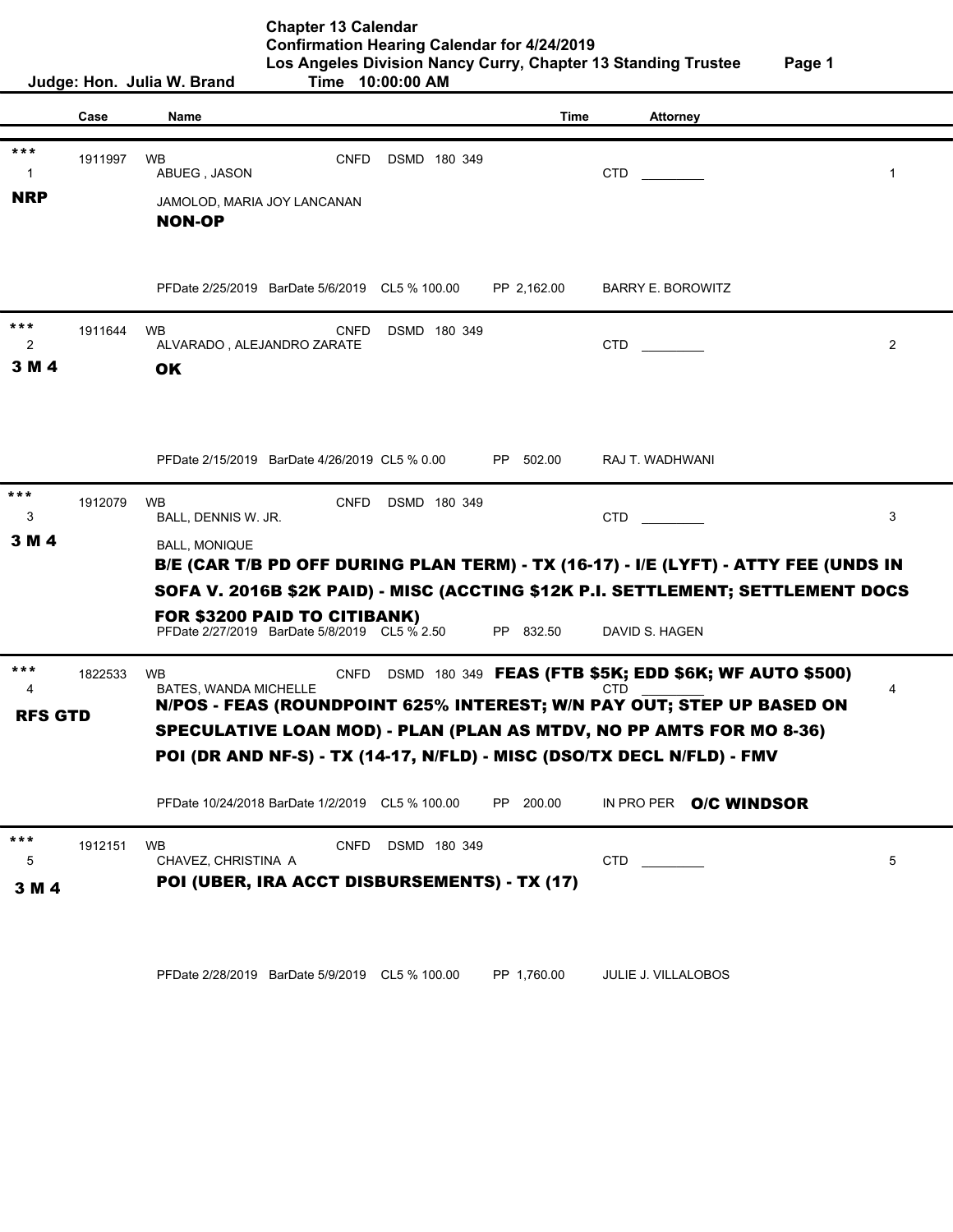| <b>Chapter 13 Calendar</b>                                    |        |
|---------------------------------------------------------------|--------|
| <b>Confirmation Hearing Calendar for 4/24/2019</b>            |        |
| Los Angeles Division Nancy Curry, Chapter 13 Standing Trustee | Page 1 |
| $Time \quad 10:00:00 \Delta M$                                |        |

|                     |         | Judge: Hon. Julia W. Brand                                                   | Time 10:00:00 AM |               |                                                                                                   |                |
|---------------------|---------|------------------------------------------------------------------------------|------------------|---------------|---------------------------------------------------------------------------------------------------|----------------|
|                     | Case    | Name                                                                         |                  | Time          | <b>Attorney</b>                                                                                   |                |
|                     |         |                                                                              |                  |               |                                                                                                   |                |
| ***<br>$\mathbf{1}$ | 1911997 | <b>WB</b><br><b>CNFD</b><br>ABUEG, JASON                                     | DSMD 180 349     |               | <b>CTD</b>                                                                                        | $\mathbf{1}$   |
| <b>NRP</b>          |         | JAMOLOD, MARIA JOY LANCANAN<br><b>NON-OP</b>                                 |                  |               |                                                                                                   |                |
|                     |         | PFDate 2/25/2019 BarDate 5/6/2019 CL5 % 100.00                               |                  | PP 2,162.00   | <b>BARRY E. BOROWITZ</b>                                                                          |                |
| ***<br>2<br>3 M 4   | 1911644 | <b>WB</b><br><b>CNFD</b><br>ALVARADO, ALEJANDRO ZARATE<br><b>OK</b>          | DSMD 180 349     |               | CTD                                                                                               | $\overline{2}$ |
|                     |         |                                                                              |                  |               |                                                                                                   |                |
|                     |         | PFDate 2/15/2019 BarDate 4/26/2019 CL5 % 0.00                                |                  | PP 502.00     | RAJ T. WADHWANI                                                                                   |                |
| ***<br>3            | 1912079 | <b>WB</b><br><b>CNFD</b><br>BALL, DENNIS W. JR.                              | DSMD 180 349     |               | CTD                                                                                               | 3              |
| 3 M 4               |         | <b>BALL, MONIQUE</b>                                                         |                  |               | B/E (CAR T/B PD OFF DURING PLAN TERM) - TX (16-17) - I/E (LYFT) - ATTY FEE (UNDS IN               |                |
|                     |         | FOR \$3200 PAID TO CITIBANK)<br>PFDate 2/27/2019 BarDate 5/8/2019 CL5 % 2.50 |                  | PP 832.50     | SOFA V. 2016B \$2K PAID) - MISC (ACCTING \$12K P.I. SETTLEMENT; SETTLEMENT DOCS<br>DAVID S. HAGEN |                |
| ***                 | 1822533 | <b>WB</b><br><b>CNFD</b>                                                     |                  |               | DSMD 180 349 FEAS (FTB \$5K; EDD \$6K; WF AUTO \$500)                                             |                |
| 4<br><b>RFS GTD</b> |         | BATES, WANDA MICHELLE                                                        |                  |               | CTD<br>N/POS - FEAS (ROUNDPOINT 625% INTEREST; W/N PAY OUT; STEP UP BASED ON                      | 4              |
|                     |         | POI (DR AND NF-S) - TX (14-17, N/FLD) - MISC (DSO/TX DECL N/FLD) - FMV       |                  |               | <b>SPECULATIVE LOAN MOD) - PLAN (PLAN AS MTDV, NO PP AMTS FOR MO 8-36)</b>                        |                |
|                     |         | PFDate 10/24/2018 BarDate 1/2/2019 CL5 % 100.00                              |                  | 200.00<br>PP. | IN PRO PER O/C WINDSOR                                                                            |                |
| ***<br>5            | 1912151 | <b>WB</b><br><b>CNFD</b><br>CHAVEZ, CHRISTINA A                              | DSMD 180 349     |               | CTD                                                                                               | 5              |
| 3 M 4               |         | POI (UBER, IRA ACCT DISBURSEMENTS) - TX (17)                                 |                  |               |                                                                                                   |                |

PFDate 2/28/2019 BarDate 5/9/2019 CL5 % 100.00 PP 1,760.00 JULIE J. VILLALOBOS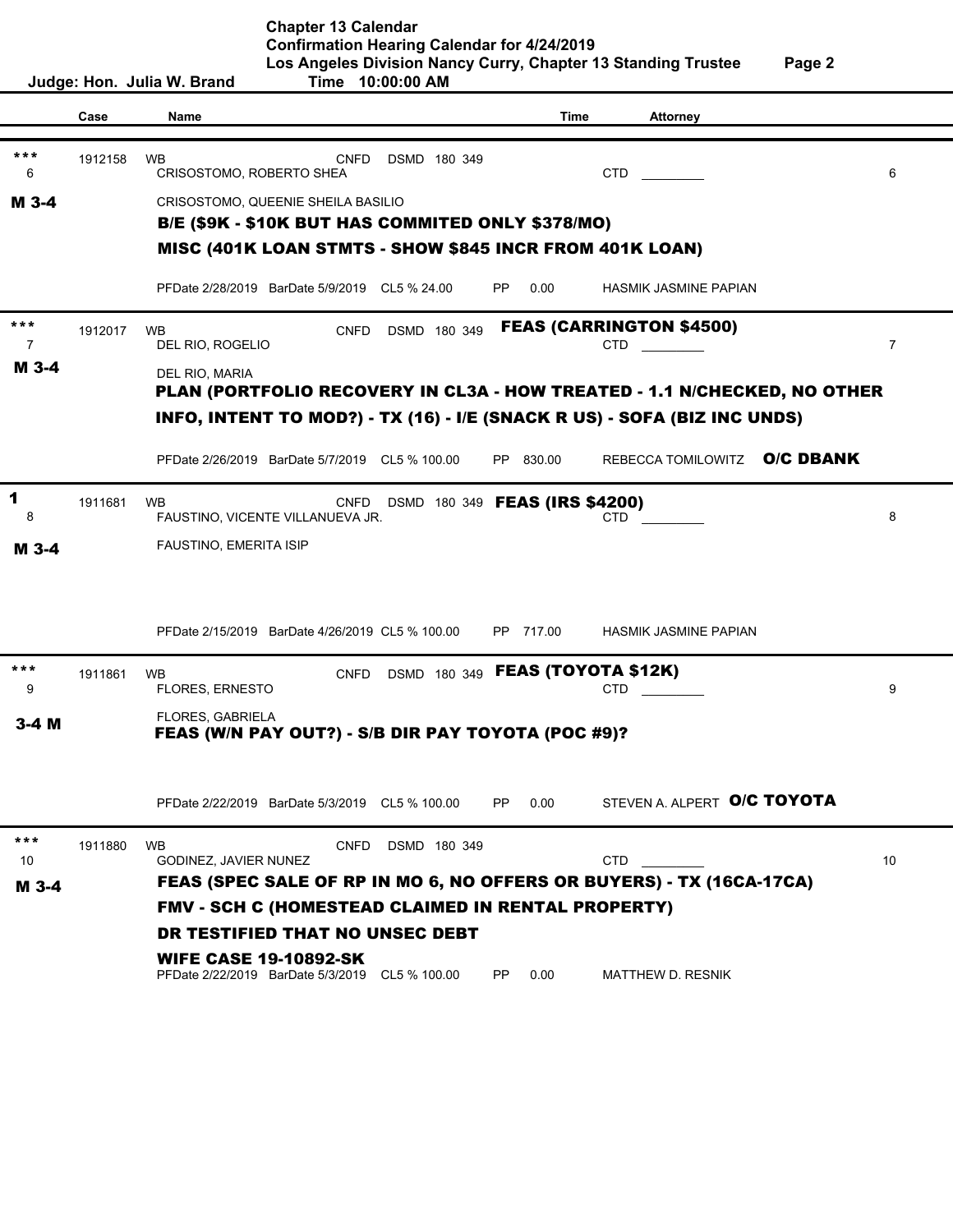**Chapter 13 Calendar Confirmation Hearing Calendar for 4/24/2019 Los Angeles Division Nancy Curry, Chapter 13 Standing Trustee Page 2 Judge: Hon. Julia W. Brand Time 10:00:00 AM**

**Case Name Time Attorney** 1912158 WB CNFD DSMD 180 349 6 CRISOSTOMO, ROBERTO SHEA CTD CTD CTD CRISOSTOMO, QUEENIE SHEILA BASILIO PFDate 2/28/2019 BarDate 5/9/2019 CL5 % 24.00 PP 0.00 HASMIK JASMINE PAPIAN 1912017 WB CNFD DSMD 180 349 7 DEL RIO, ROGELIO COMPONERIO CTD CTD CTD 7 DEL RIO, MARIA PFDate 2/26/2019 BarDate 5/7/2019 CL5 % 100.00 PP 830.00 REBECCA TOMILOWITZ O/C DBANK 1911681 WB CNFD DSMD 180 349 **FEAS (IRS \$4200)**<br>| 6 BAUSTINO, VICENTE VILLANUEVA JR.<br>| FAUSTINO, EMERITA ISIP 8 FAUSTINO, VICENTE VILLANUEVA JR. CTD \_\_\_\_\_\_\_\_\_ 8 FAUSTINO, EMERITA ISIP PFDate 2/15/2019 BarDate 4/26/2019 CL5 % 100.00 PP 717.00 HASMIK JASMINE PAPIAN 1911861 WB CNFD DSMD 180 349 eration of the set of the set of the set of the set of the set of the set of the set of the set of the set of the set of the set of the set of the set of the set of the set of the set of the set of the set of the set of th FLORES, GABRIELA PFDate 2/22/2019 BarDate 5/3/2019 CL5 % 100.00 PP 0.00 1911880 WB CNFD DSMD 180 349 10 GODINEZ, JAVIER NUNEZ CTD CTD CTD 10 PFDate 2/22/2019 BarDate 5/3/2019 CL5 % 100.00 PP 0.00 MATTHEW D. RESNIK FEAS (W/N PAY OUT?) - S/B DIR PAY TOYOTA (POC #9)? B/E (\$9K - \$10K BUT HAS COMMITED ONLY \$378/MO) MISC (401K LOAN STMTS - SHOW \$845 INCR FROM 401K LOAN) \*\*\* M 3-4 \*\*\* <sup>\*\*</sup><br>
<sup>1912017</sup><br>
DEL RIO, NARIA<br> **DEL RIO, MARIA<br>
PLAN (PORTFOLIO RECOVERY IN CL3A - HOW TREATED - 1.1 N/CHECKED, NO OTH<br>
INFO, INTENT TO MOD?) - TX (16) - I/E (SNACK R US) - SOFA (BIZ INC UNDS)<br>
PFDate 2/26/2019 BarDate 5** PLAN (PORTFOLIO RECOVERY IN CL3A - HOW TREATED - 1.1 N/CHECKED, NO OTHER INFO, INTENT TO MOD?) - TX (16) - I/E (SNACK R US) - SOFA (BIZ INC UNDS) 1 \*\*\* 3-4 M FEAS (TOYOTA \$12K) STEVEN A ALPERT O/C TOYOTA \*\*\* M 3-4 FEAS (SPEC SALE OF RP IN MO 6, NO OFFERS OR BUYERS) - TX (16CA-17CA) FMV - SCH C (HOMESTEAD CLAIMED IN RENTAL PROPERTY) DR TESTIFIED THAT NO UNSEC DEBT WIFE CASE 19-10892-SK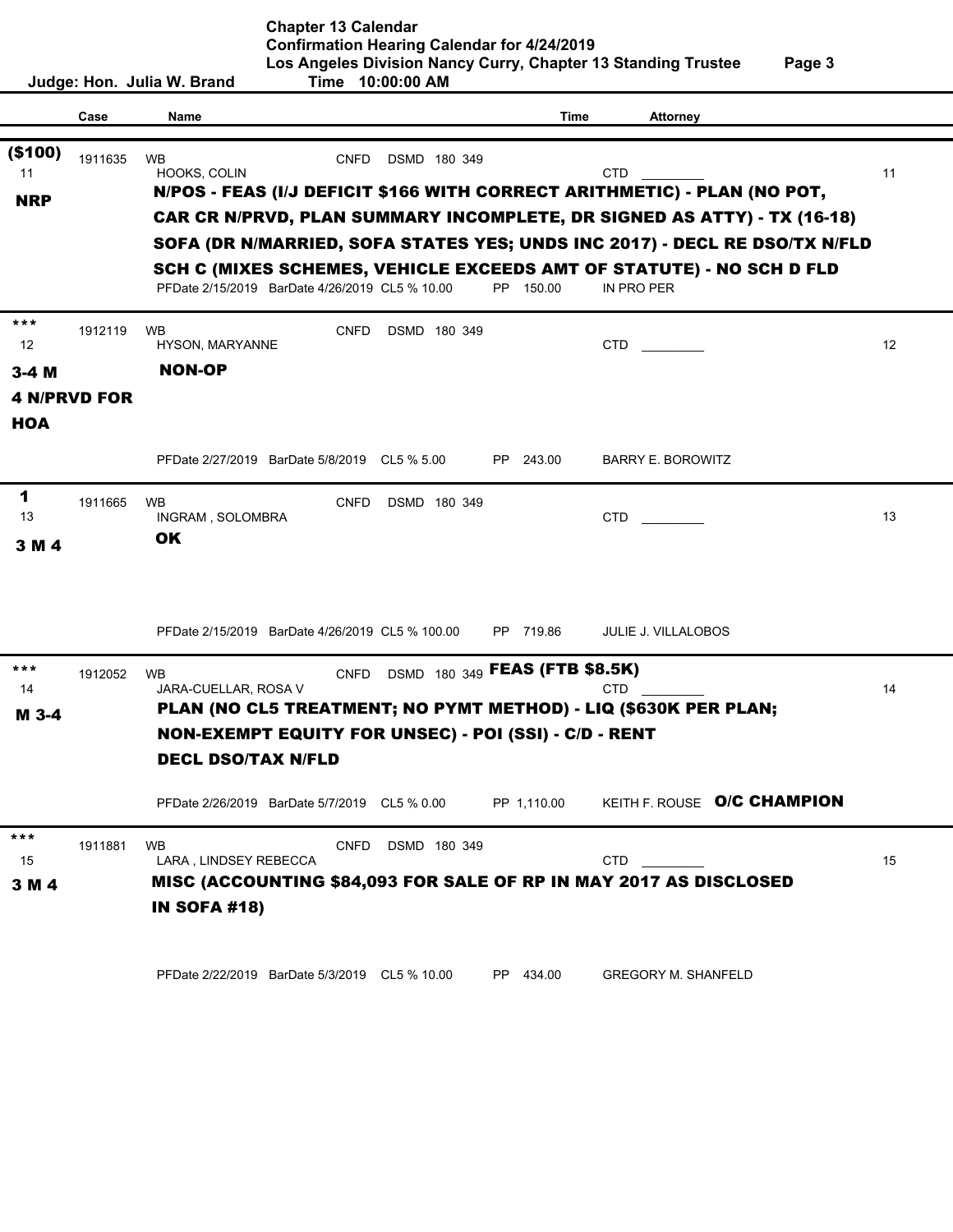|                                   |         | Judge: Hon. Julia W. Brand                                     | <b>Chapter 13 Calendar</b><br><b>Confirmation Hearing Calendar for 4/24/2019</b> | Time 10:00:00 AM  |                                | Los Angeles Division Nancy Curry, Chapter 13 Standing Trustee                                                                                              | Page 3 |
|-----------------------------------|---------|----------------------------------------------------------------|----------------------------------------------------------------------------------|-------------------|--------------------------------|------------------------------------------------------------------------------------------------------------------------------------------------------------|--------|
|                                   | Case    | Name                                                           |                                                                                  |                   | Time                           | <b>Attorney</b>                                                                                                                                            |        |
| (\$100)<br>11                     | 1911635 | <b>WB</b><br>HOOKS, COLIN                                      | <b>CNFD</b>                                                                      | DSMD 180 349      |                                | <b>CTD</b>                                                                                                                                                 | 11     |
| <b>NRP</b>                        |         |                                                                |                                                                                  |                   |                                | N/POS - FEAS (I/J DEFICIT \$166 WITH CORRECT ARITHMETIC) - PLAN (NO POT,<br><b>CAR CR N/PRVD, PLAN SUMMARY INCOMPLETE, DR SIGNED AS ATTY) - TX (16-18)</b> |        |
|                                   |         |                                                                |                                                                                  |                   |                                | SOFA (DR N/MARRIED, SOFA STATES YES; UNDS INC 2017) - DECL RE DSO/TX N/FLD                                                                                 |        |
|                                   |         |                                                                | PFDate 2/15/2019 BarDate 4/26/2019 CL5 % 10.00                                   |                   | PP 150.00                      | SCH C (MIXES SCHEMES, VEHICLE EXCEEDS AMT OF STATUTE) - NO SCH D FLD<br>IN PRO PER                                                                         |        |
| ***<br>12                         | 1912119 | <b>WB</b><br>HYSON, MARYANNE                                   | <b>CNFD</b>                                                                      | DSMD 180 349      |                                | CTD.                                                                                                                                                       | 12     |
| $3-4$ M                           |         | <b>NON-OP</b>                                                  |                                                                                  |                   |                                |                                                                                                                                                            |        |
| <b>4 N/PRVD FOR</b><br><b>HOA</b> |         |                                                                |                                                                                  |                   |                                |                                                                                                                                                            |        |
|                                   |         |                                                                | PFDate 2/27/2019 BarDate 5/8/2019 CL5 % 5.00                                     |                   | 243.00<br>PP -                 | <b>BARRY E. BOROWITZ</b>                                                                                                                                   |        |
| 1<br>13<br>3 M 4                  | 1911665 | <b>WB</b><br>INGRAM, SOLOMBRA<br><b>OK</b>                     | <b>CNFD</b>                                                                      | DSMD 180 349      |                                | <b>CTD</b>                                                                                                                                                 | 13     |
|                                   |         |                                                                | PFDate 2/15/2019 BarDate 4/26/2019 CL5 % 100.00                                  |                   | PP 719.86                      | <b>JULIE J. VILLALOBOS</b>                                                                                                                                 |        |
| ***<br>14<br>M 3-4                | 1912052 | <b>WB</b><br>JARA-CUELLAR, ROSA V<br><b>DECL DSO/TAX N/FLD</b> | <b>CNFD</b><br>NON-EXEMPT EQUITY FOR UNSEC) - POI (SSI) - C/D - RENT             |                   | DSMD 180 349 FEAS (FTB \$8.5K) | <b>CTD</b><br>PLAN (NO CL5 TREATMENT; NO PYMT METHOD) - LIQ (\$630K PER PLAN;                                                                              | 14     |
|                                   |         |                                                                | PFDate 2/26/2019 BarDate 5/7/2019 CL5 % 0.00                                     |                   | PP 1,110.00                    | KEITH F. ROUSE O/C CHAMPION                                                                                                                                |        |
| ***<br>15<br>3 M 4                | 1911881 | <b>WB</b><br>LARA, LINDSEY REBECCA<br><b>IN SOFA #18)</b>      |                                                                                  | CNFD DSMD 180 349 |                                | <b>CTD</b><br>MISC (ACCOUNTING \$84,093 FOR SALE OF RP IN MAY 2017 AS DISCLOSED                                                                            | 15     |

ׇֺ֖֚֒֝֬

PFDate 2/22/2019 BarDate 5/3/2019 CL5 % 10.00 PP 434.00 GREGORY M. SHANFELD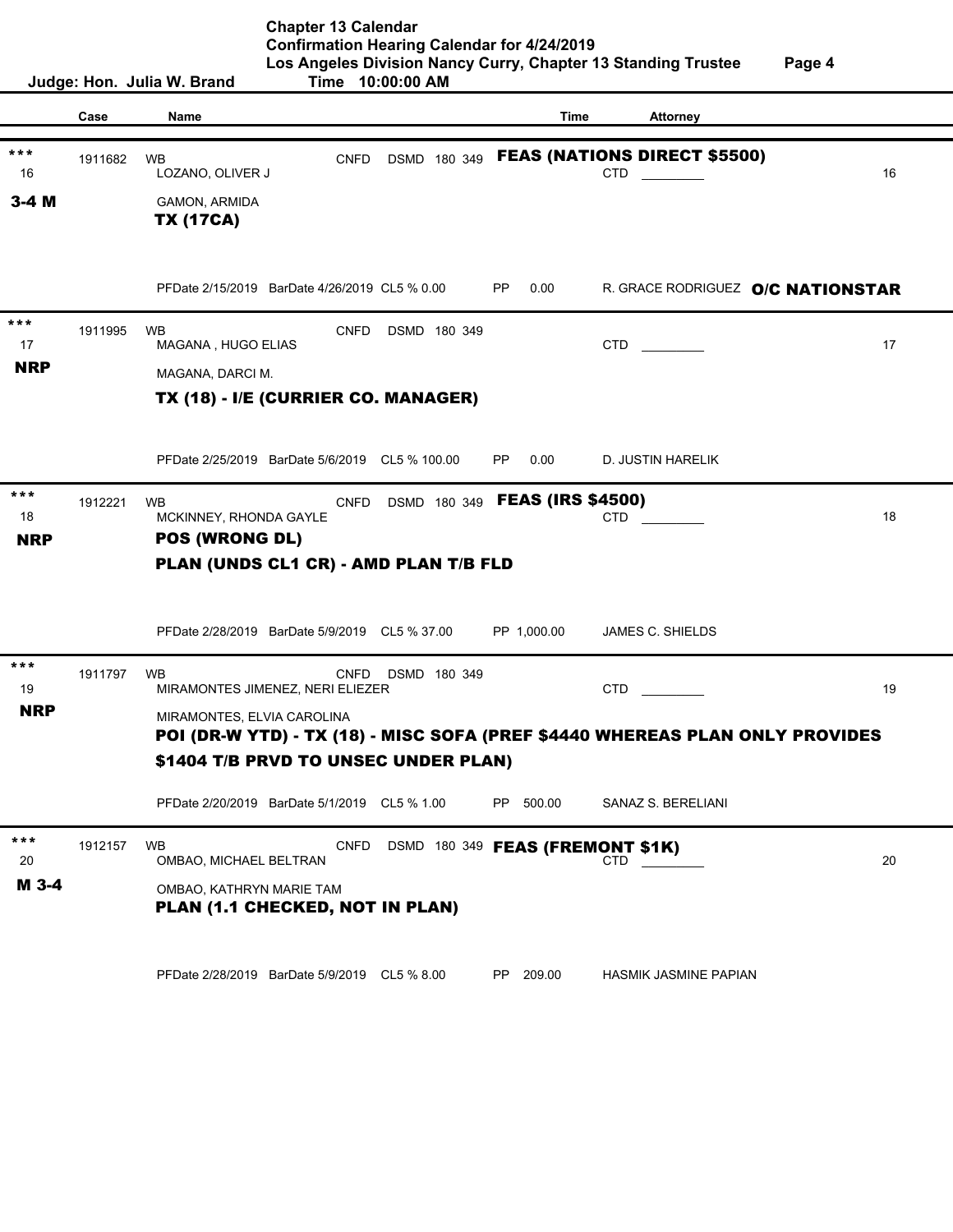**Chapter 13 Calendar Confirmation Hearing Calendar for 4/24/2019 Los Angeles Division Nancy Curry, Chapter 13 Standing Trustee Page 4 Judge: Hon. Julia W. Brand Time 10:00:00 AM Case Name Time Attorney** 1911682 WB CNFD DSMD 180 349 FEAS (NATIONS DIRECT \$5500) 16 LOZANO, OLIVER J CORPORATION CONTRACTED AND CONTRACTED A LOZANO, OLIVER J GAMON, ARMIDA PFDate 2/15/2019 BarDate 4/26/2019 CL5 % 0.00 PP 0.00 R. GRACE RODRIGUEZ O/C NATIONSTAR 1911995 WB CNFD DSMD 180 349 17 MAGANA , HUGO ELIAS 17 CTD **CTD** MAGANA, DARCI M. PFDate 2/25/2019 BarDate 5/6/2019 CL5 % 100.00 PP 0.00 D. JUSTIN HARELIK <sup>\*\*\*</sup> 1912221 WB CNFD DSMD 180 349 **FEAS (IRS \$4500)**<br>18 MCKINNEY, RHONDA GAYLE CTD CTD CTD **POS (WRONG DL)** 18 MCKINNEY, RHONDA GAYLE **CTD** CTD **CTD** 18 PFDate 2/28/2019 BarDate 5/9/2019 CL5 % 37.00 PP 1,000.00 JAMES C. SHIELDS 1911797 WB CNFD DSMD 180 349 19 MIRAMONTES JIMENEZ, NERI ELIEZER CTD CTD CTD CTD MIRAMONTES, ELVIA CAROLINA PFDate 2/20/2019 BarDate 5/1/2019 CL5 % 1.00 PP 500.00 SANAZ S. BERELIANI \*\*\* 1912157 WB CNFD DSMD 180 349 FEAS (FREMONT \$1K) 20 OMBAO, MICHAEL BELTRAN CHECK COMENANT CTD TO CHECK COMENANT 20 OMBAO, KATHRYN MARIE TAM PFDate 2/28/2019 BarDate 5/9/2019 CL5 % 8.00 PP 209.00 HASMIK JASMINE PAPIAN <sup>\*\*\*</sup><br>1911682 WB<br>16 LOZANO, OLIVER J<br>**3-4 M**<br>**TX (17CA)**<br>PFDate 2/15/2019 BarDate 4/26/2019 CL5 % 0.00 PP 0.00 R. GRACE RODRIGUEZ **O/C NATIONSTAR** TX (17CA) \*\*\*<br>17<br>**NRP** TX (18) - I/E (CURRIER CO. MANAGER) POS (WRONG DL) **PLAN (UNDS CL1 CR) - AMD PLAN T/B FLD**<br>PFDate 2/28/2019 BarDate 5/9/2019 CL5 % 37.00 PP<br><sup>\*\*\*</sup> 1911797 WB MIRAMONTES JIMENEZ, NERI ELIEZER<br>**NRP** MIRAMONTES FLVIA CAROLINA POI (DR-W YTD) - TX (18) - MISC SOFA (PREF \$4440 WHEREAS PLAN ONLY PROVIDES \$1404 T/B PRVD TO UNSEC UNDER PLAN) PLAN (1.1 CHECKED, NOT IN PLAN) M 3-4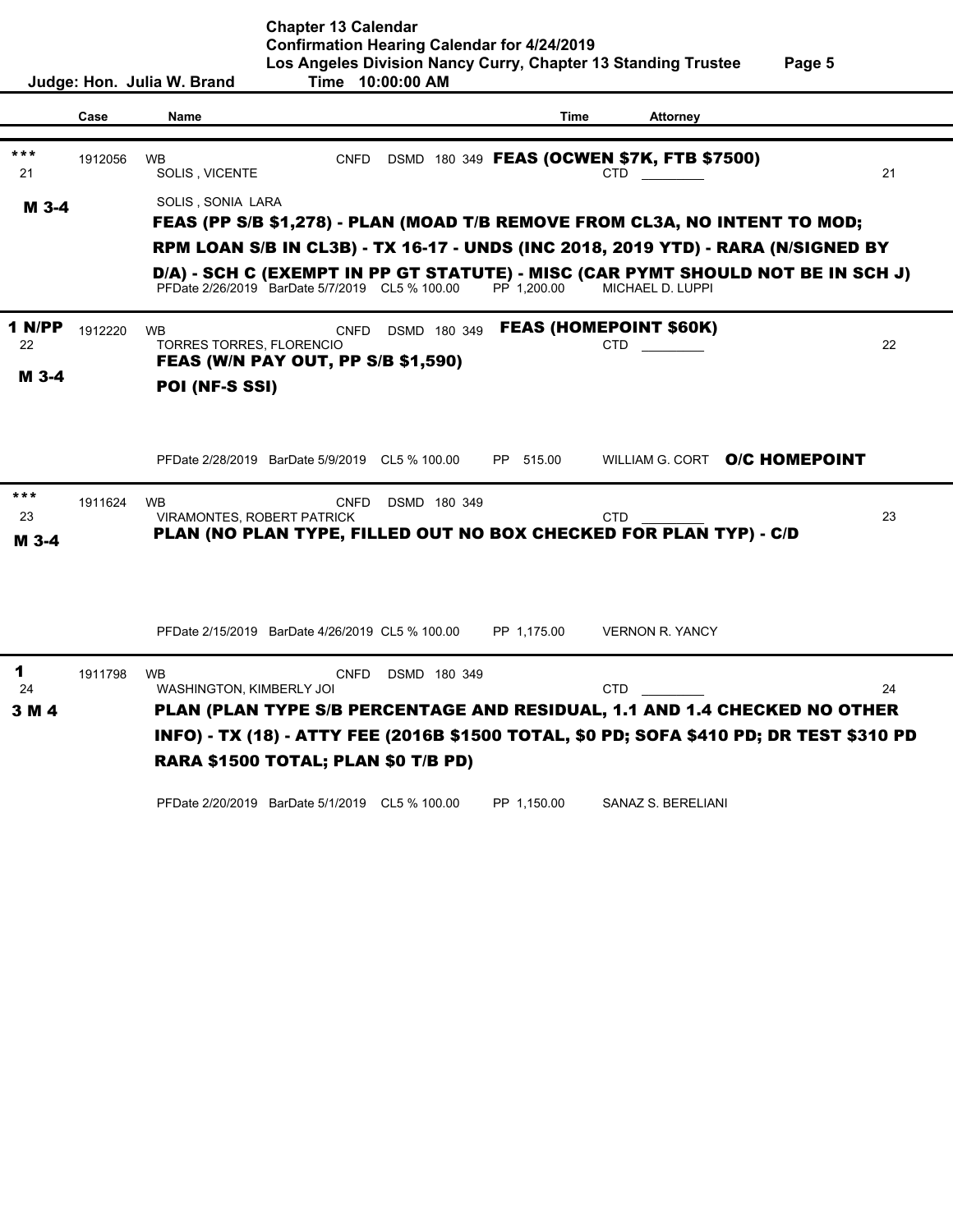**Judge: Hon. Julia W. Brand Time 10:00:00 AM Case Name Time Attorney** \*\*\* 1912056 WB **CNFD DSMD 180 349 FEAS (OCWEN \$7K, FTB \$7500)** 21 SOLIS, VICENTE 21 CTD CTD 21 SOLIS , SONIA LARA PFDate 2/26/2019 BarDate 5/7/2019 CL5 % 100.00 PP 1,200.00 MICHAEL D. LUPPI 1912220 WB **CNFD DSMD 180 349 FEAS (HOMEPOINT \$60K)** 22 TORRES TORRES, FLORENCIO CTD CTD 22 PFDate 2/28/2019 BarDate 5/9/2019 CL5 % 100.00 PP 515.00 WILLIAM G. CORT O/C HOMEPOINT 1911624 WB CNFD DSMD 180 349 23 VIRAMONTES, ROBERT PATRICK CTD CTD 23 PFDate 2/15/2019 BarDate 4/26/2019 CL5 % 100.00 PP 1,175.00 VERNON R. YANCY 1911798 WB CNFD DSMD 180 349 24 WASHINGTON, KIMBERLY JOI CTD CTD 24 PFDate 2/20/2019 BarDate 5/1/2019 CL5 % 100.00 PP 1,150.00 SANAZ S. BERELIANI FEAS (PP S/B \$1,278) - PLAN (MOAD T/B REMOVE FROM CL3A, NO INTENT TO MOD; RPM LOAN S/B IN CL3B) - TX 16-17 - UNDS (INC 2018, 2019 YTD) - RARA (N/SIGNED BY D/A) - SCH C (EXEMPT IN PP GT STATUTE) - MISC (CAR PYMT SHOULD NOT BE IN SCH J) FEAS (W/N PAY OUT, PP S/B \$1,590) POI (NF-S SSI) M 3-4 1 N/PP M 3-4 O/C HOMEPOINT FEAS (HOMEPOINT \$60K) \*\*\* PLAN (NO PLAN TYPE, FILLED OUT NO BOX CHECKED FOR PLAN TYP) - C/D M 3-4 PLAN (PLAN TYPE S/B PERCENTAGE AND RESIDUAL, 1.1 AND 1.4 CHECKED NO OTHER INFO) - TX (18) - ATTY FEE (2016B \$1500 TOTAL, \$0 PD; SOFA \$410 PD; DR TEST \$310 PD 1911798 WB<br>
WASHINGTON, KIMBERLY JOI<br> **RARA \$1500 TOTAL; PLAN \$0 T/B PD)**<br>
RARA \$1500 TOTAL; PLAN \$0 T/B PD) 3 M 4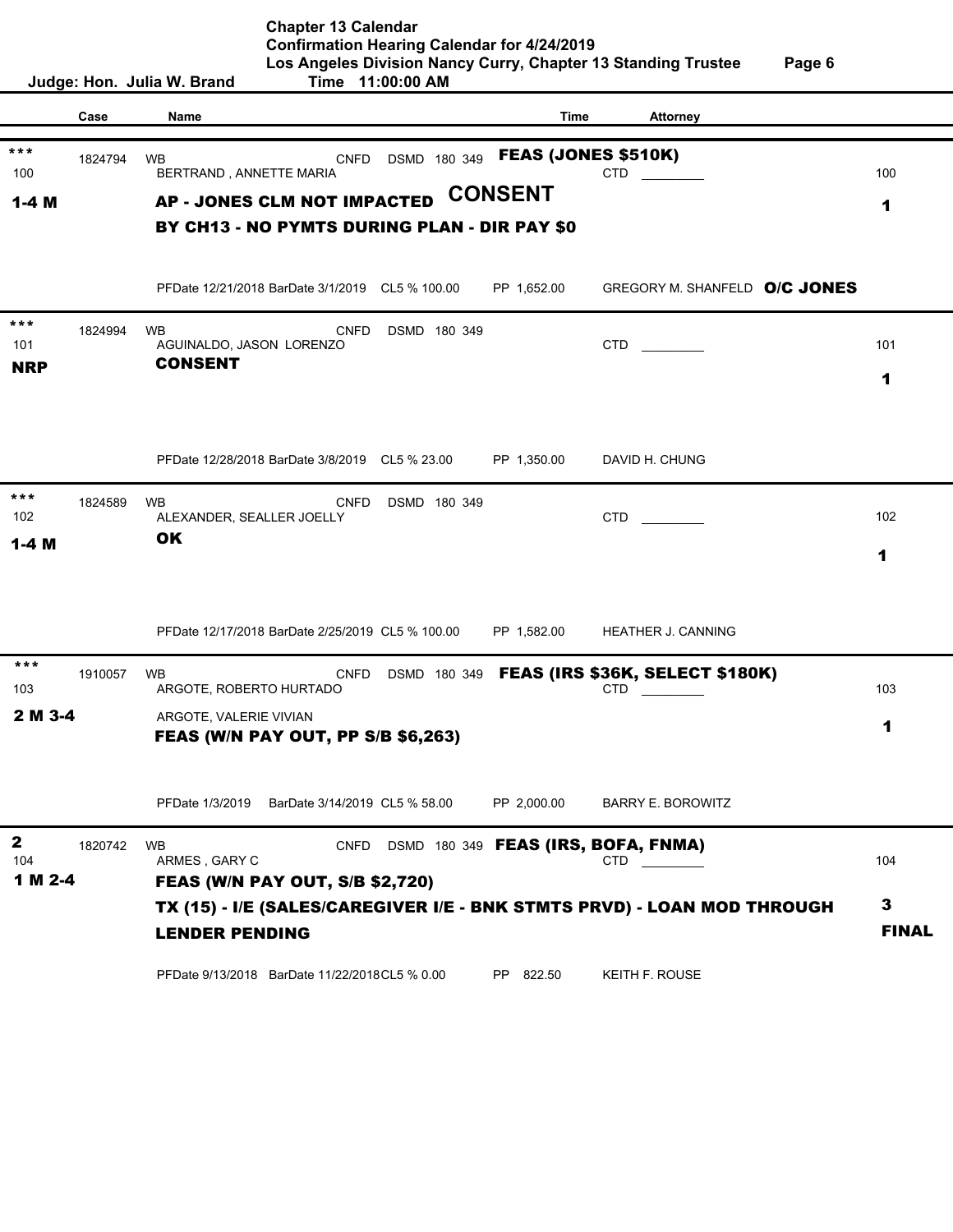| Page 6 |  |
|--------|--|
|--------|--|

|              |         | Judge: Hon. Julia W. Brand<br>Time 11:00:00 AM                                                                  |              |
|--------------|---------|-----------------------------------------------------------------------------------------------------------------|--------------|
|              | Case    | <b>Name</b><br>Time<br><b>Attorney</b>                                                                          |              |
|              |         |                                                                                                                 |              |
| ***<br>100   | 1824794 | <b>FEAS (JONES \$510K)</b><br>DSMD 180 349<br><b>WB</b><br><b>CNFD</b><br><b>CTD</b><br>BERTRAND, ANNETTE MARIA | 100          |
| $1-4M$       |         | <b>CONSENT</b><br><b>AP - JONES CLM NOT IMPACTED</b>                                                            | 1            |
|              |         | BY CH13 - NO PYMTS DURING PLAN - DIR PAY \$0                                                                    |              |
|              |         |                                                                                                                 |              |
|              |         | GREGORY M. SHANFELD O/C JONES<br>PFDate 12/21/2018 BarDate 3/1/2019 CL5 % 100.00<br>PP 1,652.00                 |              |
| ***          |         |                                                                                                                 |              |
| 101          | 1824994 | <b>WB</b><br><b>CNFD</b><br>DSMD 180 349<br>CTD<br>AGUINALDO, JASON LORENZO                                     | 101          |
| <b>NRP</b>   |         | <b>CONSENT</b>                                                                                                  | 1            |
|              |         |                                                                                                                 |              |
|              |         |                                                                                                                 |              |
|              |         |                                                                                                                 |              |
|              |         | PFDate 12/28/2018 BarDate 3/8/2019 CL5 % 23.00<br>PP 1,350.00<br>DAVID H. CHUNG                                 |              |
| ***          | 1824589 | <b>WB</b><br><b>CNFD</b><br>DSMD 180 349                                                                        |              |
| 102          |         | CTD<br>ALEXANDER, SEALLER JOELLY                                                                                | 102          |
| $1-4$ M      |         | OK                                                                                                              | 1            |
|              |         |                                                                                                                 |              |
|              |         |                                                                                                                 |              |
|              |         | PFDate 12/17/2018 BarDate 2/25/2019 CL5 % 100.00<br>PP 1,582.00<br><b>HEATHER J. CANNING</b>                    |              |
| $***$        |         |                                                                                                                 |              |
| 103          | 1910057 | DSMD 180 349 FEAS (IRS \$36K, SELECT \$180K)<br><b>CNFD</b><br><b>WB</b><br>ARGOTE, ROBERTO HURTADO<br>CTD      | 103          |
| 2 M 3-4      |         | ARGOTE, VALERIE VIVIAN                                                                                          |              |
|              |         | <b>FEAS (W/N PAY OUT, PP S/B \$6,263)</b>                                                                       | 1            |
|              |         |                                                                                                                 |              |
|              |         |                                                                                                                 |              |
|              |         | PFDate 1/3/2019 BarDate 3/14/2019 CL5 % 58.00<br>PP 2,000.00<br><b>BARRY E. BOROWITZ</b>                        |              |
| $\mathbf{2}$ | 1820742 | DSMD 180 349 FEAS (IRS, BOFA, FNMA)<br><b>WB</b><br><b>CNFD</b>                                                 |              |
| 104          |         | ARMES, GARY C<br>CTD                                                                                            | 104          |
| 1 M 2-4      |         | <b>FEAS (W/N PAY OUT, S/B \$2,720)</b>                                                                          |              |
|              |         | TX (15) - I/E (SALES/CAREGIVER I/E - BNK STMTS PRVD) - LOAN MOD THROUGH                                         | 3            |
|              |         | <b>LENDER PENDING</b>                                                                                           | <b>FINAL</b> |
|              |         | PFDate 9/13/2018 BarDate 11/22/2018CL5 % 0.00<br>PP 822.50<br>KEITH F. ROUSE                                    |              |
|              |         |                                                                                                                 |              |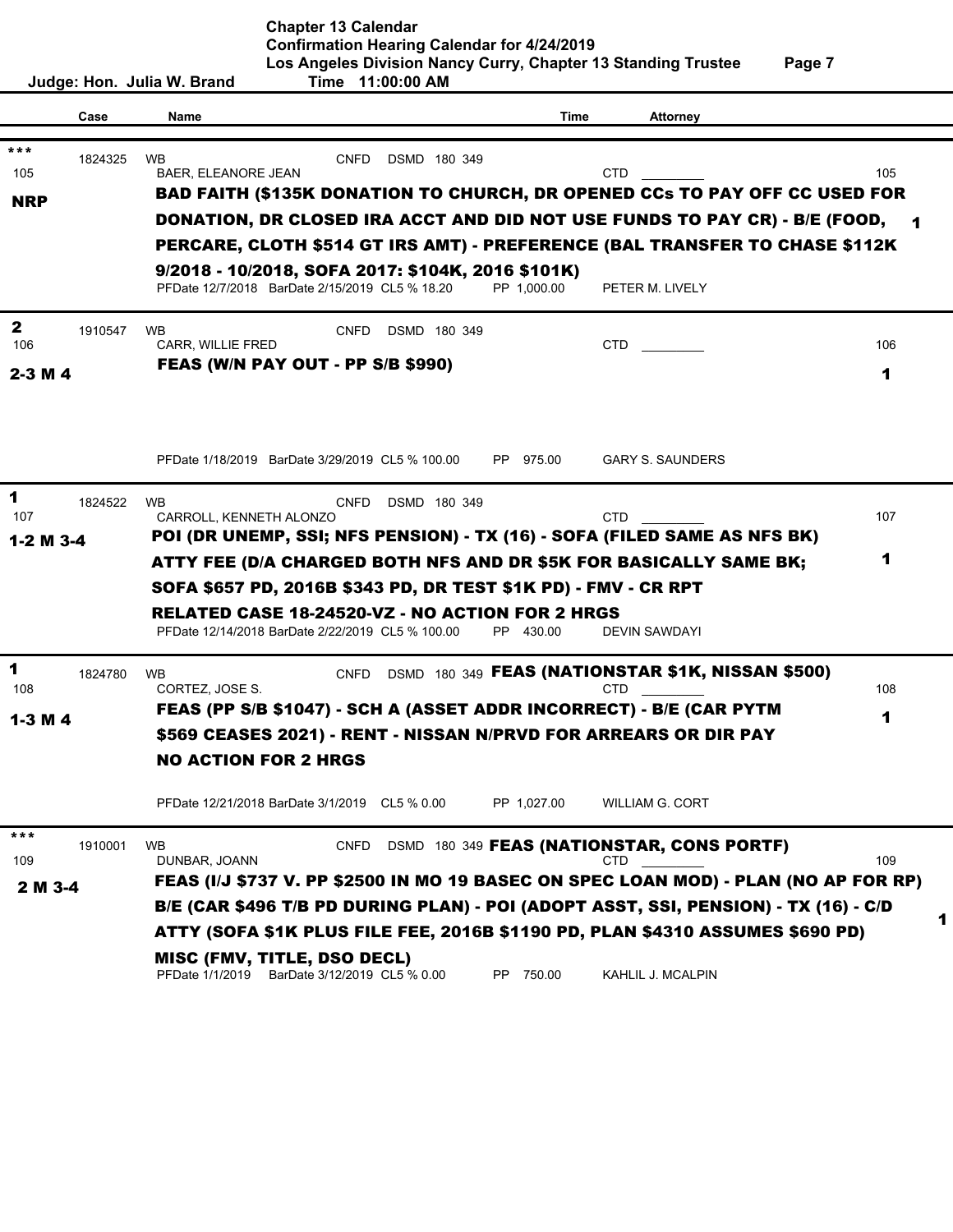**Judge: Hon. Julia W. Brand Time 11:00:00 AM Case Name Time Attorney** 1824325 WB CNFD DSMD 180 349 105 BAER, ELEANORE JEAN CTD CTD CTD 105 PFDate 12/7/2018 BarDate 2/15/2019 CL5 % 18.20 PP 1,000.00 PETER M. LIVELY 1910547 WB CNFD DSMD 180 349 106 CARR, WILLIE FRED CTD \_\_\_\_\_\_\_\_\_ 106 PFDate 1/18/2019 BarDate 3/29/2019 CL5 % 100.00 PP 975.00 GARY S. SAUNDERS 1824522 WB CNFD DSMD 180 349 107 CARROLL, KENNETH ALONZO COMPONED CTD CTD CONTROLL, CONTROLL, CONTROLL, CONTROLL, CONTROLL, CONTROLL, CONTR PFDate 12/14/2018 BarDate 2/22/2019 CL5 % 100.00 PP 430.00 DEVIN SAWDAYI 1824780 WB CNFD DSMD 180 349 FEAS (NATIONSTAR \$1K, NISSAN \$500) 108 CORTEZ, JOSE S. CORTES AND THE SERVICE OF LOST CONTRACTED AND STOLEN AND THE SERVICE OF LOST OF LOST OF LO PFDate 12/21/2018 BarDate 3/1/2019 CL5 % 0.00 PP 1,027.00 WILLIAM G. CORT 1910001 WB **CNFD DSMD 180 349 <b>FEAS (NATIONSTAR, CONS PORTF)** 109 DUNBAR, JOANN 109 DUNBAR, JOANN 109 PFDate 1/1/2019 BarDate 3/12/2019 CL5 % 0.00 PP 750.00 KAHLIL J. MCALPIN FEAS (PP S/B \$1047) - SCH A (ASSET ADDR INCORRECT) - B/E (CAR PYTM \$569 CEASES 2021) - RENT - NISSAN N/PRVD FOR ARREARS OR DIR PAY NO ACTION FOR 2 HRGS <sup>\*\*\*</sup>
1910001 WB<br>
<sup>109</sup>
DUNBAR, JOANN<br> **2 M 3-4** FEAS (I/J \$737 V. PP \$2500 IN MO 19 BASEC ON SPEC LOAN MOD) - PLAN (NO AP FOR RP) B/E (CAR \$496 T/B PD DURING PLAN) - POI (ADOPT ASST, SSI, PENSION) - TX (16) - C/D ATTY (SOFA \$1K PLUS FILE FEE, 2016B \$1190 PD, PLAN \$4310 ASSUMES \$690 PD) MISC (FMV, TITLE, DSO DECL) BAD FAITH (\$135K DONATION TO CHURCH, DR OPENED CCs TO PAY OFF CC USED FOR DONATION, DR CLOSED IRA ACCT AND DID NOT USE FUNDS TO PAY CR) - B/E (FOOD, PERCARE, CLOTH \$514 GT IRS AMT) - PREFERENCE (BAL TRANSFER TO CHASE \$112K <sup>\*\*\*</sup><br>1824325 WB<br>
BAER, ELEANORE JEAN<br> **BAD FAITH (\$135K DONATION TO CHURCH, DR OI<br>
DONATION, DR CLOSED IRA ACCT AND DID NOT U<br>
PERCARE, CLOTH \$514 GT IRS AMT) - PREFERENG<br>
9/2018 - 10/2018, SOFA 2017: \$104K, 2016 \$101K)** NRP 1 2 2-3 M 4 FEAS (W/N PAY OUT - PP S/B \$990) 1 1 1-2 M 3-4 POI (DR UNEMP, SSI; NFS PENSION) - TX (16) - SOFA (FILED SAME AS NFS BK) ATTY FEE (D/A CHARGED BOTH NFS AND DR \$5K FOR BASICALLY SAME BK; SOFA \$657 PD, 2016B \$343 PD, DR TEST \$1K PD) - FMV - CR RPT **RELATED CASE 18-24520-VZ - NO ACTION FOR 2 HRGS**<br>
PFDate 12/14/2018 BarDate 2/22/2019 CL5 % 100.00 PP 430.00 DE<br>
1824780 WB CNFD DSMD 180 349 **FEAS (NATIONS** 1-3 M 4 1 1 1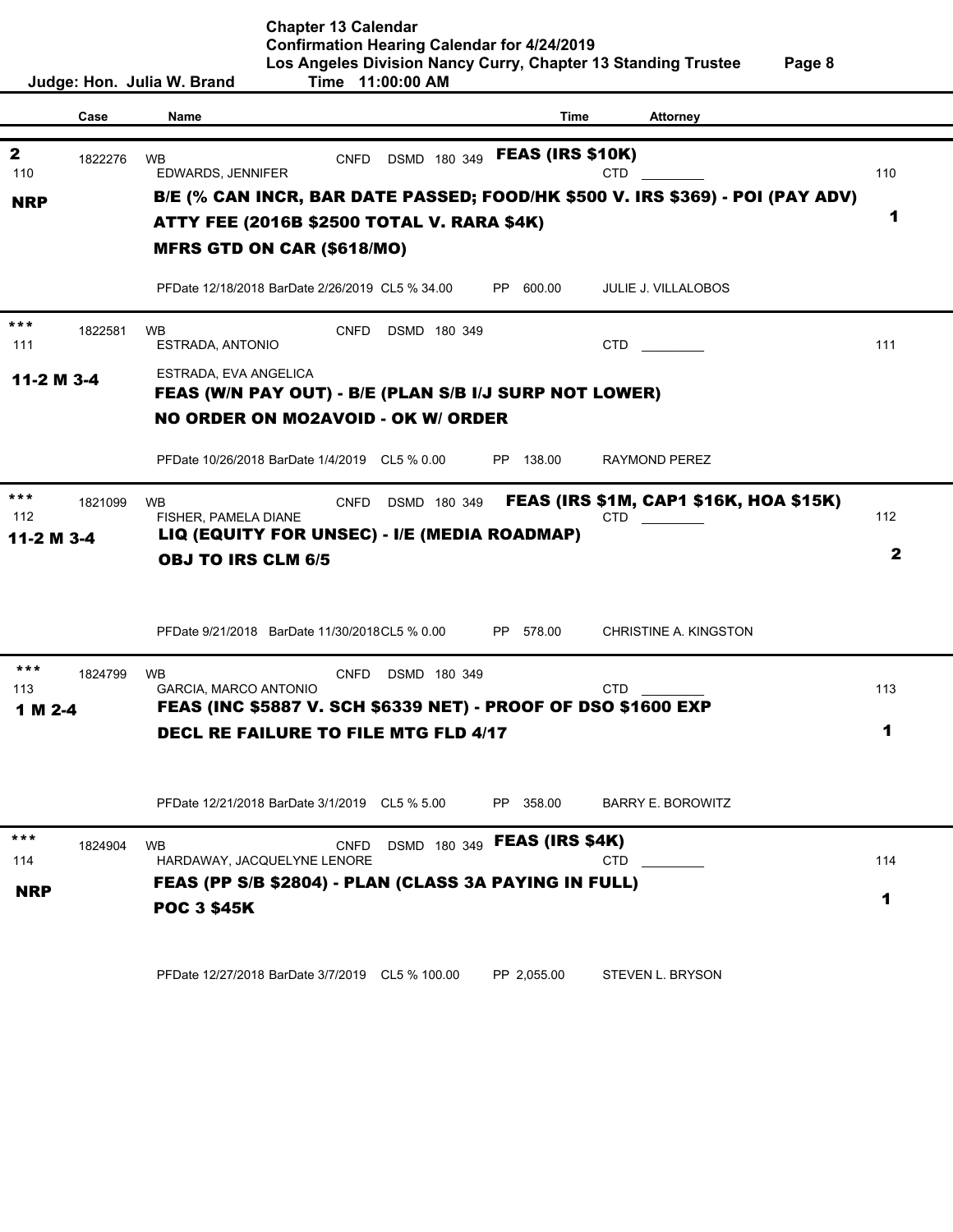|              |         | Judge: Hon. Julia W. Brand                                    |                                              | Time 11:00:00 AM |                              |                                                                                                                 |              |  |
|--------------|---------|---------------------------------------------------------------|----------------------------------------------|------------------|------------------------------|-----------------------------------------------------------------------------------------------------------------|--------------|--|
|              |         |                                                               |                                              |                  |                              |                                                                                                                 |              |  |
|              | Case    | Name                                                          |                                              |                  | Time                         | <b>Attorney</b>                                                                                                 |              |  |
| $\mathbf{2}$ |         |                                                               |                                              |                  | <b>FEAS (IRS \$10K)</b>      |                                                                                                                 |              |  |
| 110          | 1822276 | <b>WB</b><br>EDWARDS, JENNIFER                                | <b>CNFD</b>                                  | DSMD 180 349     |                              | <b>CTD</b>                                                                                                      | 110          |  |
|              |         |                                                               |                                              |                  |                              | B/E (% CAN INCR, BAR DATE PASSED; FOOD/HK \$500 V. IRS \$369) - POI (PAY ADV)                                   |              |  |
| <b>NRP</b>   |         | ATTY FEE (2016B \$2500 TOTAL V. RARA \$4K)                    |                                              |                  |                              |                                                                                                                 | 1            |  |
|              |         |                                                               |                                              |                  |                              |                                                                                                                 |              |  |
|              |         | <b>MFRS GTD ON CAR (\$618/MO)</b>                             |                                              |                  |                              |                                                                                                                 |              |  |
|              |         | PFDate 12/18/2018 BarDate 2/26/2019 CL5 % 34.00               |                                              |                  | PP 600.00                    | <b>JULIE J. VILLALOBOS</b>                                                                                      |              |  |
| ***          | 1822581 | <b>WB</b>                                                     | <b>CNFD</b>                                  | DSMD 180 349     |                              |                                                                                                                 |              |  |
| 111          |         | ESTRADA, ANTONIO                                              |                                              |                  |                              | CTD and the control of the control of the control of the control of the control of the control of the control o | 111          |  |
| 11-2 M 3-4   |         | ESTRADA, EVA ANGELICA                                         |                                              |                  |                              |                                                                                                                 |              |  |
|              |         | FEAS (W/N PAY OUT) - B/E (PLAN S/B I/J SURP NOT LOWER)        |                                              |                  |                              |                                                                                                                 |              |  |
|              |         | <b>NO ORDER ON MO2AVOID - OK W/ ORDER</b>                     |                                              |                  |                              |                                                                                                                 |              |  |
|              |         |                                                               |                                              |                  |                              |                                                                                                                 |              |  |
|              |         | PFDate 10/26/2018 BarDate 1/4/2019 CL5 % 0.00                 |                                              |                  | PP 138.00                    | RAYMOND PEREZ                                                                                                   |              |  |
| ***          |         |                                                               |                                              |                  |                              |                                                                                                                 |              |  |
| 112          | 1821099 | <b>WB</b><br>FISHER, PAMELA DIANE                             | <b>CNFD</b>                                  | DSMD 180 349     |                              | <b>FEAS (IRS \$1M, CAP1 \$16K, HOA \$15K)</b><br>CTD.                                                           | 112          |  |
| 11-2 M 3-4   |         |                                                               | LIQ (EQUITY FOR UNSEC) - I/E (MEDIA ROADMAP) |                  |                              |                                                                                                                 |              |  |
|              |         | <b>OBJ TO IRS CLM 6/5</b>                                     |                                              |                  |                              |                                                                                                                 | $\mathbf{2}$ |  |
|              |         |                                                               |                                              |                  |                              |                                                                                                                 |              |  |
|              |         |                                                               |                                              |                  |                              |                                                                                                                 |              |  |
|              |         | PFDate 9/21/2018 BarDate 11/30/2018CL5 % 0.00                 |                                              |                  | PP 578.00                    | CHRISTINE A. KINGSTON                                                                                           |              |  |
|              |         |                                                               |                                              |                  |                              |                                                                                                                 |              |  |
| $***$        | 1824799 | <b>WB</b>                                                     | <b>CNFD</b>                                  | DSMD 180 349     |                              |                                                                                                                 |              |  |
| 113          |         | GARCIA, MARCO ANTONIO                                         |                                              |                  |                              | <b>CTD</b>                                                                                                      | 113          |  |
| 1 M 2-4      |         | FEAS (INC \$5887 V. SCH \$6339 NET) - PROOF OF DSO \$1600 EXP |                                              |                  |                              |                                                                                                                 |              |  |
|              |         | <b>DECL RE FAILURE TO FILE MTG FLD 4/17</b>                   |                                              |                  |                              |                                                                                                                 | 1            |  |
|              |         |                                                               |                                              |                  |                              |                                                                                                                 |              |  |
|              |         |                                                               |                                              |                  |                              |                                                                                                                 |              |  |
|              |         | PFDate 12/21/2018 BarDate 3/1/2019 CL5 % 5.00                 |                                              |                  | PP 358.00                    | <b>BARRY E. BOROWITZ</b>                                                                                        |              |  |
|              |         |                                                               |                                              |                  |                              |                                                                                                                 |              |  |
| ***          | 1824904 | <b>WB</b>                                                     | <b>CNFD</b>                                  |                  | DSMD 180 349 FEAS (IRS \$4K) |                                                                                                                 |              |  |
| 114          |         | HARDAWAY, JACQUELYNE LENORE                                   |                                              |                  |                              | <b>CTD</b>                                                                                                      | 114          |  |
| <b>NRP</b>   |         | FEAS (PP S/B \$2804) - PLAN (CLASS 3A PAYING IN FULL)         |                                              |                  |                              |                                                                                                                 | 1            |  |
|              |         | <b>POC 3 \$45K</b>                                            |                                              |                  |                              |                                                                                                                 |              |  |
|              |         |                                                               |                                              |                  |                              |                                                                                                                 |              |  |
|              |         |                                                               |                                              |                  |                              |                                                                                                                 |              |  |
|              |         | PFDate 12/27/2018 BarDate 3/7/2019 CL5 % 100.00               |                                              |                  | PP 2,055.00                  | STEVEN L. BRYSON                                                                                                |              |  |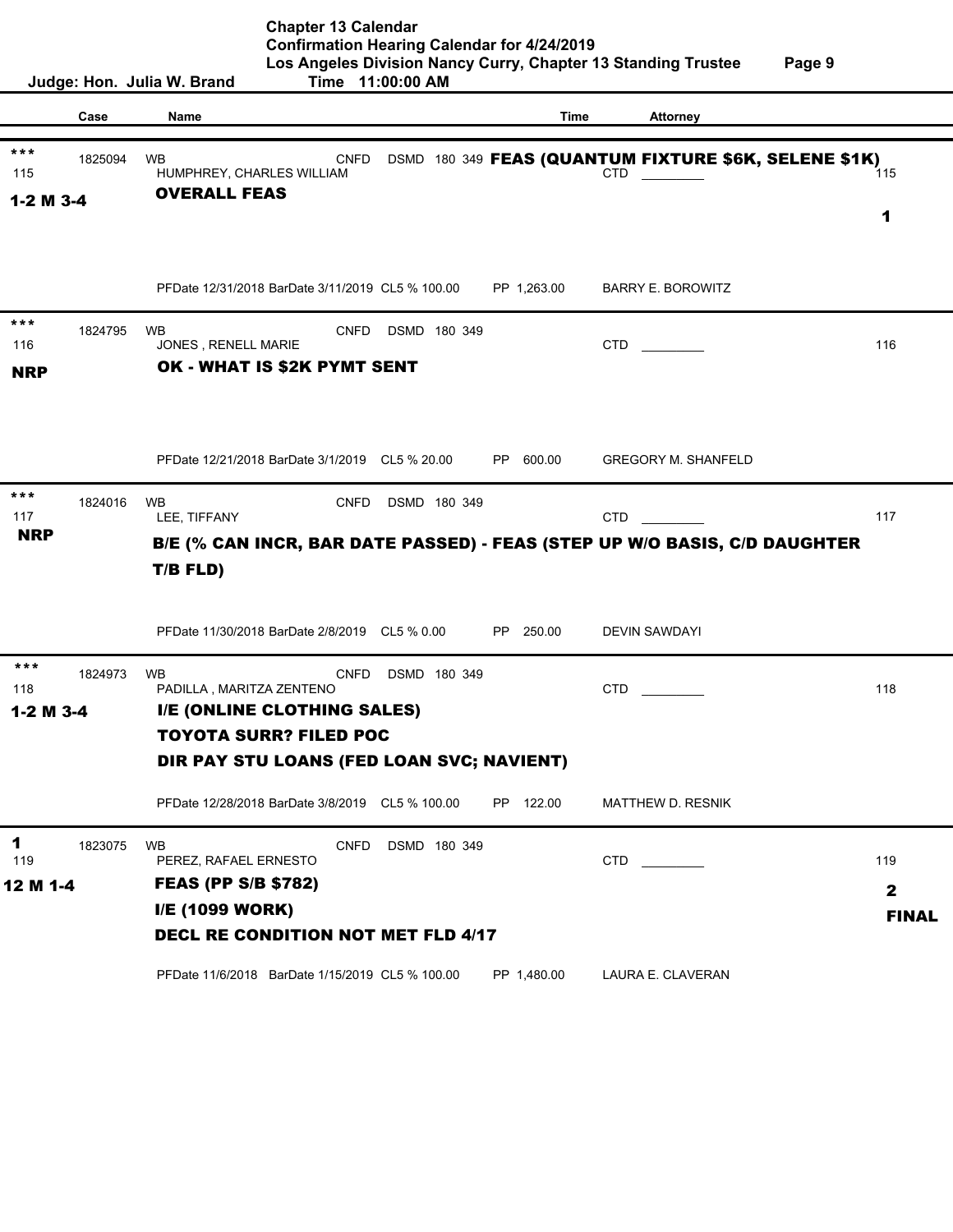**Chapter 13 Calendar Confirmation Hearing Calendar for 4/24/2019 Los Angeles Division Nancy Curry, Chapter 13 Standing Trustee Page 9 Judge: Hon. Julia W. Brand Time 11:00:00 AM Case Name Time Attorney** 1825094 WB **CNFD DSMD 180 349 FEAS (QUANTUM FIXTURE \$6K, SELENE \$1K)** 115 HUMPHREY, CHARLES WILLIAM **CTD** CTD **CTD** 115 PFDate 12/31/2018 BarDate 3/11/2019 CL5 % 100.00 PP 1,263.00 BARRY E. BOROWITZ 1824795 WB CNFD DSMD 180 349 116 JONES , RENELL MARIE CTD \_\_\_\_\_\_\_\_\_ 116 PFDate 12/21/2018 BarDate 3/1/2019 CL5 % 20.00 PP 600.00 GREGORY M. SHANFELD 1824016 WB CNFD DSMD 180 349 117 LEE, TIFFANY CTD \_\_\_\_\_\_\_\_\_ 117 PFDate 11/30/2018 BarDate 2/8/2019 CL5 % 0.00 PP 250.00 DEVIN SAWDAYI 1824973 WB CNFD DSMD 180 349 118 PADILLA , MARITZA ZENTENO CTD \_\_\_\_\_\_\_\_\_ 118 PFDate 12/28/2018 BarDate 3/8/2019 CL5 % 100.00 PP 122.00 MATTHEW D. RESNIK 1823075 WB CNFD DSMD 180 349 119 PEREZ, RAFAEL ERNESTO CTD CTD CTD PFDate 11/6/2018 BarDate 1/15/2019 CL5 % 100.00 PP 1,480.00 LAURA E. CLAVERAN FEAS (PP S/B \$782) I/E (1099 WORK) DECL RE CONDITION NOT MET FLD 4/17 B/E (% CAN INCR, BAR DATE PASSED) - FEAS (STEP UP W/O BASIS, C/D DAUGHTER THE THREET CHARLES WILLIAM CHE DSMD 180 349 **FEAS (QUANTUM FIXTURE \$6K, SELENE \$1K)**<br>
THE TIME TO UNERALL FEAS<br>
THE TO UNERALL FEAS THE TABLE ON THE TABLE ON THE TABLE ON THE TABLE ON THE TABLE ON THE ONE ONES RENELL MARK \*\*\* 1824795 WB CNFD DSMI<br>116 JONES, RENELL MARIE<br>**NRP OK - WHAT IS \$2K PYMT SENT** NRP \*\*\* I/E (ONLINE CLOTHING SALES) TOYOTA SURR? FILED POC <sup>\*\*\*</sup>
1824973 WB<br>
PADILLA, MARITZA ZENTENO<br> **1-2 M 3-4** I/E (ONLINE CLOTHING SALES)<br>
TOYOTA SURR? FILED POC<br>
DIR PAY STU LOANS (FED LOAN SVC; NAVIENT) 1-2 M 3-4 1 12 M 1-4 2 FINAL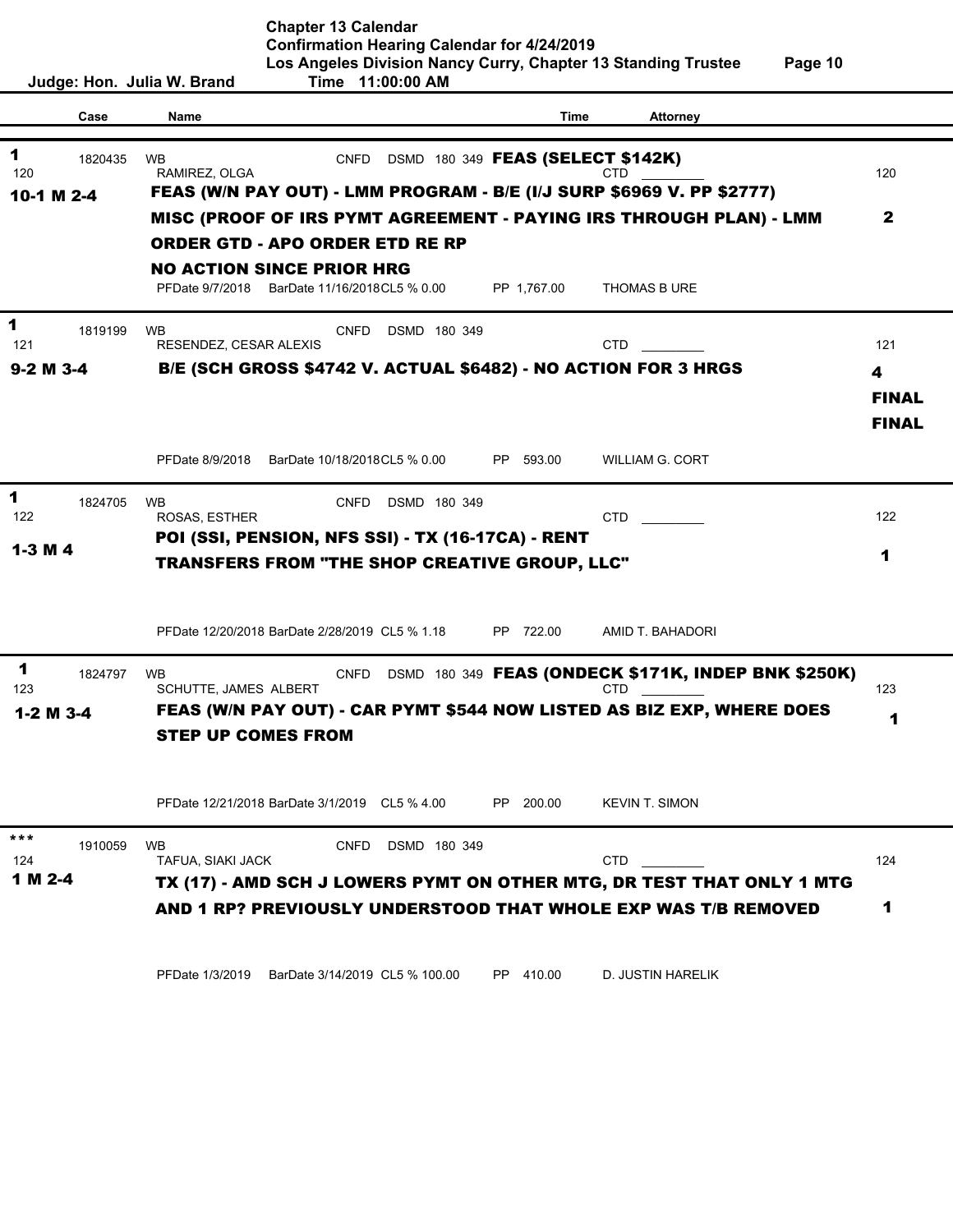| Judge: Hon. Julia W. Brand |                           | Time 11:00:00 AM                                     |              |                                   |                                                                       |              |
|----------------------------|---------------------------|------------------------------------------------------|--------------|-----------------------------------|-----------------------------------------------------------------------|--------------|
| Case                       | Name                      |                                                      |              | Time                              | <b>Attorney</b>                                                       |              |
|                            |                           |                                                      |              |                                   |                                                                       |              |
| 1<br>1820435               | <b>WB</b>                 | <b>CNFD</b>                                          |              | DSMD 180 349 FEAS (SELECT \$142K) |                                                                       |              |
| 120                        | RAMIREZ, OLGA             |                                                      |              |                                   | CTD                                                                   | 120          |
| 10-1 M 2-4                 |                           |                                                      |              |                                   | FEAS (W/N PAY OUT) - LMM PROGRAM - B/E (I/J SURP \$6969 V. PP \$2777) |              |
|                            |                           |                                                      |              |                                   | MISC (PROOF OF IRS PYMT AGREEMENT - PAYING IRS THROUGH PLAN) - LMM    | $\mathbf{2}$ |
|                            |                           | <b>ORDER GTD - APO ORDER ETD RE RP</b>               |              |                                   |                                                                       |              |
|                            |                           | <b>NO ACTION SINCE PRIOR HRG</b>                     |              |                                   |                                                                       |              |
|                            |                           | PFDate 9/7/2018 BarDate 11/16/2018CL5 % 0.00         |              | PP 1,767.00                       | THOMAS B URE                                                          |              |
| 1<br>1819199               | <b>WB</b>                 | CNFD                                                 | DSMD 180 349 |                                   |                                                                       |              |
| 121                        | RESENDEZ, CESAR ALEXIS    |                                                      |              |                                   | <b>CTD</b>                                                            | 121          |
| $9-2$ M $3-4$              |                           |                                                      |              |                                   | <b>B/E (SCH GROSS \$4742 V. ACTUAL \$6482) - NO ACTION FOR 3 HRGS</b> | 4            |
|                            |                           |                                                      |              |                                   |                                                                       | <b>FINAL</b> |
|                            |                           |                                                      |              |                                   |                                                                       |              |
|                            |                           |                                                      |              |                                   |                                                                       | <b>FINAL</b> |
|                            | PFDate 8/9/2018           | BarDate 10/18/2018CL5 % 0.00                         |              | PP 593.00                         | <b>WILLIAM G. CORT</b>                                                |              |
|                            |                           |                                                      |              |                                   |                                                                       |              |
| 1<br>1824705<br>122        | WB<br>ROSAS, ESTHER       | <b>CNFD</b>                                          | DSMD 180 349 |                                   | <b>CTD</b>                                                            | 122          |
|                            |                           | POI (SSI, PENSION, NFS SSI) - TX (16-17CA) - RENT    |              |                                   |                                                                       |              |
| $1-3M4$                    |                           | <b>TRANSFERS FROM "THE SHOP CREATIVE GROUP, LLC"</b> |              |                                   |                                                                       | 1            |
|                            |                           |                                                      |              |                                   |                                                                       |              |
|                            |                           |                                                      |              |                                   |                                                                       |              |
|                            |                           | PFDate 12/20/2018 BarDate 2/28/2019 CL5 % 1.18       |              | PP 722.00                         | AMID T. BAHADORI                                                      |              |
|                            |                           |                                                      |              |                                   |                                                                       |              |
| 1<br>1824797               | <b>WB</b>                 | CNFD                                                 |              |                                   | DSMD 180 349 FEAS (ONDECK \$171K, INDEP BNK \$250K)                   |              |
| 123                        | SCHUTTE, JAMES ALBERT     |                                                      |              |                                   | CTD                                                                   | 123          |
| $1-2$ M $3-4$              |                           |                                                      |              |                                   | FEAS (W/N PAY OUT) - CAR PYMT \$544 NOW LISTED AS BIZ EXP, WHERE DOES | 1            |
|                            | <b>STEP UP COMES FROM</b> |                                                      |              |                                   |                                                                       |              |
|                            |                           |                                                      |              |                                   |                                                                       |              |
|                            |                           |                                                      |              |                                   |                                                                       |              |
|                            |                           | PFDate 12/21/2018 BarDate 3/1/2019 CL5 % 4.00        |              | PP 200.00                         | <b>KEVIN T. SIMON</b>                                                 |              |
| ***<br>1910059             | <b>WB</b>                 | <b>CNFD</b>                                          | DSMD 180 349 |                                   |                                                                       |              |
| 124                        | TAFUA, SIAKI JACK         |                                                      |              |                                   | <b>CTD</b>                                                            | 124          |
| 1 M 2-4                    |                           |                                                      |              |                                   | TX (17) - AMD SCH J LOWERS PYMT ON OTHER MTG, DR TEST THAT ONLY 1 MTG |              |
|                            |                           |                                                      |              |                                   | AND 1 RP? PREVIOUSLY UNDERSTOOD THAT WHOLE EXP WAS T/B REMOVED        | 1            |
|                            |                           |                                                      |              |                                   |                                                                       |              |
|                            |                           |                                                      |              |                                   |                                                                       |              |
|                            |                           | PFDate 1/3/2019 BarDate 3/14/2019 CL5 % 100.00       |              | PP 410.00                         | D. JUSTIN HARELIK                                                     |              |